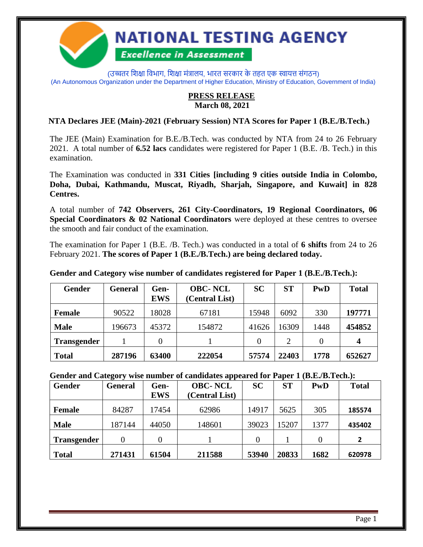

(उच्चतर शिक्षा विभाग, शिक्षा मंत्रालय, भारत सरकार के तहत एक स्वायत्त संगठन) (An Autonomous Organization under the Department of Higher Education, Ministry of Education, Government of India)

## **PRESS RELEASE March 08, 2021**

### **NTA Declares JEE (Main)-2021 (February Session) NTA Scores for Paper 1 (B.E./B.Tech.)**

The JEE (Main) Examination for B.E./B.Tech. was conducted by NTA from 24 to 26 February 2021. A total number of **6.52 lacs** candidates were registered for Paper 1 (B.E. /B. Tech.) in this examination.

The Examination was conducted in **331 Cities [including 9 cities outside India in Colombo, Doha, Dubai, Kathmandu, Muscat, Riyadh, Sharjah, Singapore, and Kuwait] in 828 Centres.**

A total number of **742 Observers, 261 City-Coordinators, 19 Regional Coordinators, 06 Special Coordinators & 02 National Coordinators** were deployed at these centres to oversee the smooth and fair conduct of the examination.

The examination for Paper 1 (B.E. /B. Tech.) was conducted in a total of **6 shifts** from 24 to 26 February 2021. **The scores of Paper 1 (B.E./B.Tech.) are being declared today.**

**Gender General Gen-EWS OBC- NCL (Central List) SC ST PwD Total Female**  $\begin{array}{|c|c|c|c|c|c|} \hline \end{array}$  90522 | 18028 | 67181 | 15948 | 6092 | 330 | **197771 Male** 196673 45372 154872 41626 16309 1448 **454852 Transgender** | 1 | 0 | 1 | 1 | 0 | 2 | 0 | 4 **Total 287196 63400 222054 57574 22403 1778 652627**

**Gender and Category wise number of candidates registered for Paper 1 (B.E./B.Tech.):**

**Gender and Category wise number of candidates appeared for Paper 1 (B.E./B.Tech.):**

| <b>Gender</b>      | <b>General</b> | Gen-<br><b>EWS</b> | <b>OBC-NCL</b><br>(Central List) | <b>SC</b> | <b>ST</b> | PwD  | <b>Total</b> |
|--------------------|----------------|--------------------|----------------------------------|-----------|-----------|------|--------------|
| <b>Female</b>      | 84287          | 17454              | 62986                            | 14917     | 5625      | 305  | 185574       |
| <b>Male</b>        | 187144         | 44050              | 148601                           | 39023     | 15207     | 1377 | 435402       |
| <b>Transgender</b> | 0              |                    |                                  |           |           |      | 2            |
| <b>Total</b>       | 271431         | 61504              | 211588                           | 53940     | 20833     | 1682 | 620978       |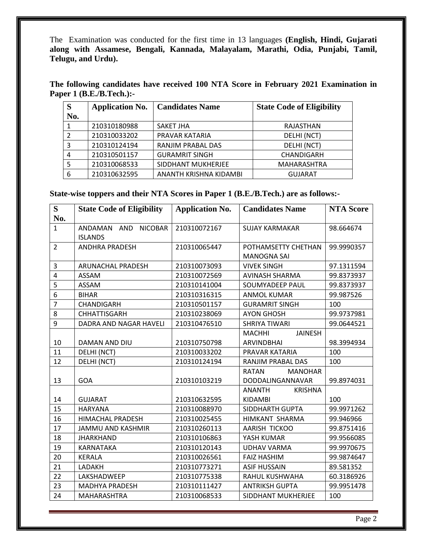The Examination was conducted for the first time in 13 languages **(English, Hindi, Gujarati along with Assamese, Bengali, Kannada, Malayalam, Marathi, Odia, Punjabi, Tamil, Telugu, and Urdu).**

**The following candidates have received 100 NTA Score in February 2021 Examination in Paper 1 (B.E./B.Tech.):-**

| S             | <b>Application No.</b> | <b>Candidates Name</b> | <b>State Code of Eligibility</b> |
|---------------|------------------------|------------------------|----------------------------------|
| No.           |                        |                        |                                  |
|               | 210310180988           | SAKET JHA              | RAJASTHAN                        |
| $\mathcal{P}$ | 210310033202           | PRAVAR KATARIA         | DELHI (NCT)                      |
| 3             | 210310124194           | RANJIM PRABAL DAS      | DELHI (NCT)                      |
| 4             | 210310501157           | <b>GURAMRIT SINGH</b>  | CHANDIGARH                       |
| 5             | 210310068533           | SIDDHANT MUKHERJEE     | <b>MAHARASHTRA</b>               |
| 6             | 210310632595           | ANANTH KRISHNA KIDAMBI | <b>GUJARAT</b>                   |

**State-wise toppers and their NTA Scores in Paper 1 (B.E./B.Tech.) are as follows:-**

| S              | <b>State Code of Eligibility</b>                | <b>Application No.</b> | <b>Candidates Name</b>          | <b>NTA Score</b> |
|----------------|-------------------------------------------------|------------------------|---------------------------------|------------------|
| No.            |                                                 |                        |                                 |                  |
| $\mathbf{1}$   | <b>NICOBAR</b><br>ANDAMAN AND<br><b>ISLANDS</b> | 210310072167           | <b>SUJAY KARMAKAR</b>           | 98.664674        |
| $\overline{2}$ | <b>ANDHRA PRADESH</b>                           | 210310065447           | POTHAMSETTY CHETHAN             | 99.9990357       |
|                |                                                 |                        | <b>MANOGNA SAI</b>              |                  |
| 3              | <b>ARUNACHAL PRADESH</b>                        | 210310073093           | <b>VIVEK SINGH</b>              | 97.1311594       |
| 4              | <b>ASSAM</b>                                    | 210310072569           | <b>AVINASH SHARMA</b>           | 99.8373937       |
| 5              | <b>ASSAM</b>                                    | 210310141004           | SOUMYADEEP PAUL                 | 99.8373937       |
| $\overline{6}$ | <b>BIHAR</b>                                    | 210310316315           | <b>ANMOL KUMAR</b>              | 99.987526        |
| $\overline{7}$ | CHANDIGARH                                      | 210310501157           | <b>GURAMRIT SINGH</b>           | 100              |
| 8              | <b>CHHATTISGARH</b>                             | 210310238069           | <b>AYON GHOSH</b>               | 99.9737981       |
| 9              | DADRA AND NAGAR HAVELI                          | 210310476510           | <b>SHRIYA TIWARI</b>            | 99.0644521       |
|                |                                                 |                        | <b>MACHHI</b><br><b>JAINESH</b> |                  |
| 10             | DAMAN AND DIU                                   | 210310750798           | <b>ARVINDBHAI</b>               | 98.3994934       |
| 11             | DELHI (NCT)                                     | 210310033202           | PRAVAR KATARIA                  | 100              |
| 12             | DELHI (NCT)                                     | 210310124194           | RANJIM PRABAL DAS               | 100              |
|                |                                                 |                        | <b>RATAN</b><br><b>MANOHAR</b>  |                  |
| 13             | <b>GOA</b>                                      | 210310103219           | DODDALINGANNAVAR                | 99.8974031       |
|                |                                                 |                        | <b>ANANTH</b><br><b>KRISHNA</b> |                  |
| 14             | <b>GUJARAT</b>                                  | 210310632595           | <b>KIDAMBI</b>                  | 100              |
| 15             | <b>HARYANA</b>                                  | 210310088970           | SIDDHARTH GUPTA                 | 99.9971262       |
| 16             | <b>HIMACHAL PRADESH</b>                         | 210310025455           | HIMKANT SHARMA                  | 99.946966        |
| 17             | <b>JAMMU AND KASHMIR</b>                        | 210310260113           | AARISH TICKOO                   | 99.8751416       |
| 18             | <b>JHARKHAND</b>                                | 210310106863           | YASH KUMAR                      | 99.9566085       |
| 19             | KARNATAKA                                       | 210310120143           | <b>UDHAV VARMA</b>              | 99.9970675       |
| 20             | <b>KERALA</b>                                   | 210310026561           | <b>FAIZ HASHIM</b>              | 99.9874647       |
| 21             | LADAKH                                          | 210310773271           | <b>ASIF HUSSAIN</b>             | 89.581352        |
| 22             | LAKSHADWEEP                                     | 210310775338           | RAHUL KUSHWAHA                  | 60.3186926       |
| 23             | <b>MADHYA PRADESH</b>                           | 210310111427           | <b>ANTRIKSH GUPTA</b>           | 99.9951478       |
| 24             | MAHARASHTRA                                     | 210310068533           | SIDDHANT MUKHERJEE              | 100              |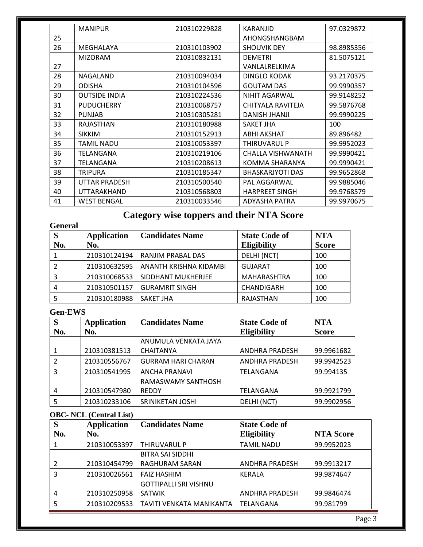|    | <b>MANIPUR</b>       | 210310229828 | KARANJID                | 97.0329872 |
|----|----------------------|--------------|-------------------------|------------|
| 25 |                      |              | AHONGSHANGBAM           |            |
| 26 | MEGHALAYA            | 210310103902 | <b>SHOUVIK DEY</b>      | 98.8985356 |
|    | <b>MIZORAM</b>       | 210310832131 | <b>DEMETRI</b>          | 81.5075121 |
| 27 |                      |              | VANLALRELKIMA           |            |
| 28 | NAGALAND             | 210310094034 | <b>DINGLO KODAK</b>     | 93.2170375 |
| 29 | <b>ODISHA</b>        | 210310104596 | <b>GOUTAM DAS</b>       | 99.9990357 |
| 30 | <b>OUTSIDE INDIA</b> | 210310224536 | <b>NIHIT AGARWAL</b>    | 99.9148252 |
| 31 | <b>PUDUCHERRY</b>    | 210310068757 | CHITYALA RAVITEJA       | 99.5876768 |
| 32 | <b>PUNJAB</b>        | 210310305281 | <b>DANISH JHANJI</b>    | 99.9990225 |
| 33 | <b>RAJASTHAN</b>     | 210310180988 | SAKET JHA               | 100        |
| 34 | <b>SIKKIM</b>        | 210310152913 | ABHI AKSHAT             | 89.896482  |
| 35 | <b>TAMIL NADU</b>    | 210310053397 | THIRUVARUL P            | 99.9952023 |
| 36 | TELANGANA            | 210310219106 | CHALLA VISHWANATH       | 99.9990421 |
| 37 | TELANGANA            | 210310208613 | KOMMA SHARANYA          | 99.9990421 |
| 38 | <b>TRIPURA</b>       | 210310185347 | <b>BHASKARJYOTI DAS</b> | 99.9652868 |
| 39 | <b>UTTAR PRADESH</b> | 210310500540 | PAL AGGARWAL            | 99.9885046 |
| 40 | <b>UTTARAKHAND</b>   | 210310568803 | <b>HARPREET SINGH</b>   | 99.9768579 |
| 41 | <b>WEST BENGAL</b>   | 210310033546 | <b>ADYASHA PATRA</b>    | 99.9970675 |

## **Category wise toppers and their NTA Score**

| <b>General</b> |                    |                        |                      |              |  |
|----------------|--------------------|------------------------|----------------------|--------------|--|
| S              | <b>Application</b> | <b>Candidates Name</b> | <b>State Code of</b> | <b>NTA</b>   |  |
| No.            | No.                |                        | <b>Eligibility</b>   | <b>Score</b> |  |
|                | 210310124194       | RANJIM PRABAL DAS      | DELHI (NCT)          | 100          |  |
|                | 210310632595       | ANANTH KRISHNA KIDAMBI | <b>GUJARAT</b>       | 100          |  |
| 3              | 210310068533       | SIDDHANT MUKHERJEE     | <b>MAHARASHTRA</b>   | 100          |  |
| 4              | 210310501157       | <b>GURAMRIT SINGH</b>  | CHANDIGARH           | 100          |  |
|                | 210310180988       | SAKET JHA              | RAJASTHAN            | 100          |  |

## **Gen-EWS**

| S   | <b>Application</b> | <b>Candidates Name</b>    | <b>State Code of</b>  | <b>NTA</b>   |
|-----|--------------------|---------------------------|-----------------------|--------------|
| No. | No.                |                           | <b>Eligibility</b>    | <b>Score</b> |
|     |                    | ANUMULA VENKATA JAYA      |                       |              |
|     | 210310381513       | <b>CHAITANYA</b>          | <b>ANDHRA PRADESH</b> | 99.9961682   |
|     | 210310556767       | <b>GURRAM HARI CHARAN</b> | <b>ANDHRA PRADESH</b> | 99.9942523   |
| 3   | 210310541995       | <b>ANCHA PRANAVI</b>      | TELANGANA             | 99.994135    |
|     |                    | RAMASWAMY SANTHOSH        |                       |              |
| 4   | 210310547980       | <b>REDDY</b>              | TELANGANA             | 99.9921799   |
| 5   | 210310233106       | SRINIKETAN JOSHI          | DELHI (NCT)           | 99.9902956   |

#### **OBC- NCL (Central List)**

| S   | <b>Application</b> | <b>Candidates Name</b>       | <b>State Code of</b>  |                  |
|-----|--------------------|------------------------------|-----------------------|------------------|
| No. | No.                |                              | <b>Eligibility</b>    | <b>NTA Score</b> |
|     | 210310053397       | THIRUVARUL P                 | TAMIL NADU            | 99.9952023       |
|     |                    | <b>BITRA SAI SIDDHI</b>      |                       |                  |
|     | 210310454799       | RAGHURAM SARAN               | <b>ANDHRA PRADESH</b> | 99.9913217       |
| 3   | 210310026561       | <b>FAIZ HASHIM</b>           | KERALA                | 99.9874647       |
|     |                    | <b>GOTTIPALLI SRI VISHNU</b> |                       |                  |
| 4   | 210310250958       | <b>SATWIK</b>                | <b>ANDHRA PRADESH</b> | 99.9846474       |
|     | 210310209533       | TAVITI VENKATA MANIKANTA     | TELANGANA             | 99.981799        |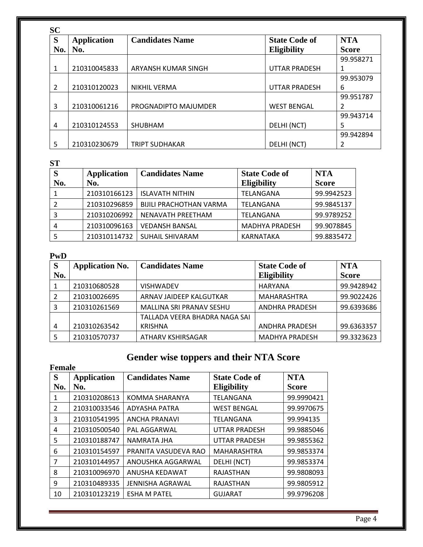| <b>SC</b> |                    |                        |                      |              |
|-----------|--------------------|------------------------|----------------------|--------------|
| S         | <b>Application</b> | <b>Candidates Name</b> | <b>State Code of</b> | <b>NTA</b>   |
| No.       | No.                |                        | <b>Eligibility</b>   | <b>Score</b> |
|           |                    |                        |                      | 99.958271    |
| 1         | 210310045833       | ARYANSH KUMAR SINGH    | <b>UTTAR PRADESH</b> |              |
|           |                    |                        |                      | 99.953079    |
| 2         | 210310120023       | <b>NIKHIL VERMA</b>    | <b>UTTAR PRADESH</b> | 6            |
|           |                    |                        |                      | 99.951787    |
| 3         | 210310061216       | PROGNADIPTO MAJUMDER   | <b>WEST BENGAL</b>   | 2            |
|           |                    |                        |                      | 99.943714    |
| 4         | 210310124553       | SHUBHAM                | DELHI (NCT)          | 5            |
|           |                    |                        |                      | 99.942894    |
| 5         | 210310230679       | <b>TRIPT SUDHAKAR</b>  | DELHI (NCT)          | 2            |

**ST**

| S   | <b>Application</b> | <b>Candidates Name</b>         | <b>State Code of</b>  | <b>NTA</b>   |
|-----|--------------------|--------------------------------|-----------------------|--------------|
| No. | No.                |                                | <b>Eligibility</b>    | <b>Score</b> |
|     | 210310166123       | <b>ISLAVATH NITHIN</b>         | TELANGANA             | 99.9942523   |
|     | 210310296859       | <b>BIJILI PRACHOTHAN VARMA</b> | TELANGANA             | 99.9845137   |
|     | 210310206992       | NENAVATH PREETHAM              | TELANGANA             | 99.9789252   |
|     | 210310096163       | <b>VEDANSH BANSAL</b>          | <b>MADHYA PRADESH</b> | 99.9078845   |
|     | 210310114732       | <b>SUHAIL SHIVARAM</b>         | KARNATAKA             | 99.8835472   |

## **PwD**

| <sub>S</sub>   | <b>Application No.</b> | <b>Candidates Name</b>        | <b>State Code of</b>  | <b>NTA</b>   |
|----------------|------------------------|-------------------------------|-----------------------|--------------|
| No.            |                        |                               | <b>Eligibility</b>    | <b>Score</b> |
|                | 210310680528           | <b>VISHWADEV</b>              | HARYANA               | 99.9428942   |
| 2              | 210310026695           | ARNAV JAIDEEP KALGUTKAR       | MAHARASHTRA           | 99.9022426   |
| 3              | 210310261569           | MALLINA SRI PRANAV SESHU      | <b>ANDHRA PRADESH</b> | 99.6393686   |
|                |                        | TALLADA VEERA BHADRA NAGA SAI |                       |              |
| $\overline{4}$ | 210310263542           | <b>KRISHNA</b>                | <b>ANDHRA PRADESH</b> | 99.6363357   |
| -5             | 210310570737           | ATHARV KSHIRSAGAR             | <b>MADHYA PRADESH</b> | 99.3323623   |

# **Gender wise toppers and their NTA Score**

|               | <b>Female</b>      |                        |                      |              |  |  |  |
|---------------|--------------------|------------------------|----------------------|--------------|--|--|--|
| S             | <b>Application</b> | <b>Candidates Name</b> | <b>State Code of</b> | <b>NTA</b>   |  |  |  |
| No.           | No.                |                        | <b>Eligibility</b>   | <b>Score</b> |  |  |  |
| 1             | 210310208613       | KOMMA SHARANYA         | TELANGANA            | 99.9990421   |  |  |  |
| $\mathcal{P}$ | 210310033546       | ADYASHA PATRA          | <b>WEST BENGAL</b>   | 99.9970675   |  |  |  |
| 3             | 210310541995       | <b>ANCHA PRANAVI</b>   | TELANGANA            | 99.994135    |  |  |  |
| 4             | 210310500540       | PAL AGGARWAL           | <b>UTTAR PRADESH</b> | 99.9885046   |  |  |  |
| 5             | 210310188747       | <b>NAMRATA JHA</b>     | <b>UTTAR PRADESH</b> | 99.9855362   |  |  |  |
| 6             | 210310154597       | PRANITA VASUDEVA RAO   | MAHARASHTRA          | 99.9853374   |  |  |  |
| 7             | 210310144957       | ANOUSHKA AGGARWAL      | DELHI (NCT)          | 99.9853374   |  |  |  |
| 8             | 210310096970       | ANUSHA KEDAWAT         | <b>RAJASTHAN</b>     | 99.9808093   |  |  |  |
| 9             | 210310489335       | JENNISHA AGRAWAL       | RAJASTHAN            | 99.9805912   |  |  |  |
| 10            | 210310123219       | <b>ESHA M PATEL</b>    | <b>GUJARAT</b>       | 99.9796208   |  |  |  |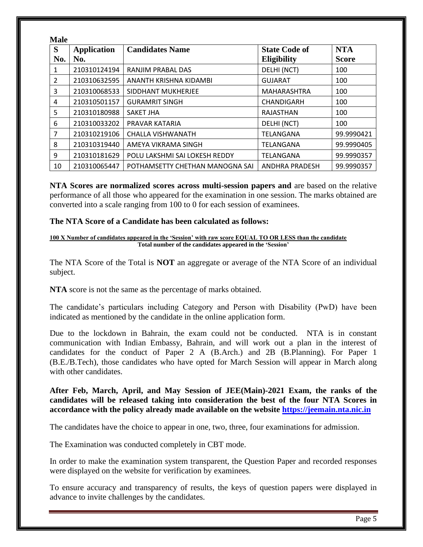| <b>Male</b>    |                           |                                 |                                            |                            |
|----------------|---------------------------|---------------------------------|--------------------------------------------|----------------------------|
| S<br>No.       | <b>Application</b><br>No. | <b>Candidates Name</b>          | <b>State Code of</b><br><b>Eligibility</b> | <b>NTA</b><br><b>Score</b> |
| 1              | 210310124194              | RANJIM PRABAL DAS               | DELHI (NCT)                                | 100                        |
| $\overline{2}$ | 210310632595              | ANANTH KRISHNA KIDAMBI          | <b>GUJARAT</b>                             | 100                        |
| 3              | 210310068533              | SIDDHANT MUKHERJEE              | MAHARASHTRA                                | 100                        |
| 4              | 210310501157              | <b>GURAMRIT SINGH</b>           | CHANDIGARH                                 | 100                        |
| 5              | 210310180988              | <b>SAKET JHA</b>                | RAJASTHAN                                  | 100                        |
| 6              | 210310033202              | PRAVAR KATARIA                  | DELHI (NCT)                                | 100                        |
| 7              | 210310219106              | <b>CHALLA VISHWANATH</b>        | <b>TELANGANA</b>                           | 99.9990421                 |
| 8              | 210310319440              | AMEYA VIKRAMA SINGH             | TELANGANA                                  | 99.9990405                 |
| 9              | 210310181629              | POLU LAKSHMI SAI LOKESH REDDY   | TELANGANA                                  | 99.9990357                 |
| 10             | 210310065447              | POTHAMSETTY CHETHAN MANOGNA SAI | <b>ANDHRA PRADESH</b>                      | 99.9990357                 |

**NTA Scores are normalized scores across multi-session papers and** are based on the relative performance of all those who appeared for the examination in one session. The marks obtained are converted into a scale ranging from 100 to 0 for each session of examinees.

#### **The NTA Score of a Candidate has been calculated as follows:**

#### **100 X Number of candidates appeared in the 'Session' with raw score EQUAL TO OR LESS than the candidate Total number of the candidates appeared in the 'Session'**

The NTA Score of the Total is **NOT** an aggregate or average of the NTA Score of an individual subject.

**NTA** score is not the same as the percentage of marks obtained.

The candidate's particulars including Category and Person with Disability (PwD) have been indicated as mentioned by the candidate in the online application form.

Due to the lockdown in Bahrain, the exam could not be conducted. NTA is in constant communication with Indian Embassy, Bahrain, and will work out a plan in the interest of candidates for the conduct of Paper 2 A (B.Arch.) and 2B (B.Planning). For Paper 1 (B.E./B.Tech), those candidates who have opted for March Session will appear in March along with other candidates.

**After Feb, March, April, and May Session of JEE(Main)-2021 Exam, the ranks of the candidates will be released taking into consideration the best of the four NTA Scores in accordance with the policy already made available on the website [https://jeemain.nta.nic.in](https://jeemain.nta.nic.in./)**

The candidates have the choice to appear in one, two, three, four examinations for admission.

The Examination was conducted completely in CBT mode.

In order to make the examination system transparent, the Question Paper and recorded responses were displayed on the website for verification by examinees.

To ensure accuracy and transparency of results, the keys of question papers were displayed in advance to invite challenges by the candidates.